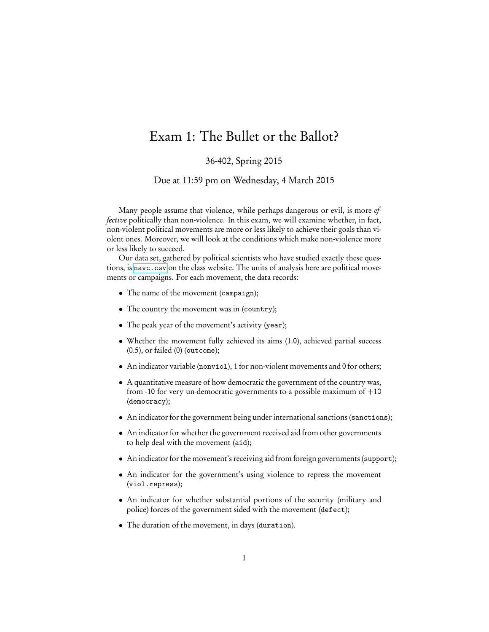## Exam 1: The Bullet or the Ballot?

36-402, Spring 2015

Due at 11:59 pm on Wednesday, 4 March 2015

Many people assume that violence, while perhaps dangerous or evil, is more effective politically than non-violence. In this exam, we will examine whether, in fact, non-violent political movements are more or less likely to achieve their goals than violent ones. Moreover, we will look at the conditions which make non-violence more or less likely to succeed.

Our data set, gathered by political scientists who have studied exactly these questions, is [navc.csv](http://www.stat.cmu.edu/~cshalizi/uADA/15/exams/1/navc.csv) on the class website. The units of analysis here are political movements or campaigns. For each movement, the data records:

- The name of the movement (campaign);
- The country the movement was in (country);
- The peak year of the movement's activity (year);
- Whether the movement fully achieved its aims (1.0), achieved partial success (0.5), or failed (0) (outcome);
- An indicator variable (nonviol), 1 for non-violent movements and 0 for others;
- A quantitative measure of how democratic the government of the country was, from -10 for very un-democratic governments to a possible maximum of  $+10$ (democracy);
- An indicator for the government being under international sanctions (sanctions);
- An indicator for whether the government received aid from other governments to help deal with the movement (aid);
- An indicator for the movement's receiving aid from foreign governments (support);
- An indicator for the government's using violence to repress the movement (viol.repress);
- An indicator for whether substantial portions of the security (military and police) forces of the government sided with the movement (defect);
- The duration of the movement, in days (duration).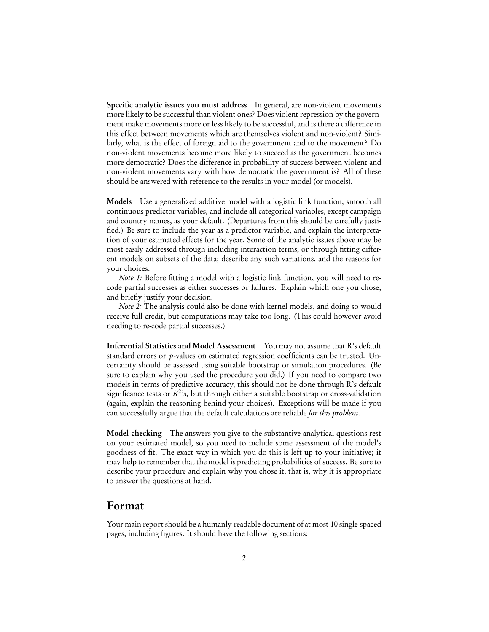Specific analytic issues you must address In general, are non-violent movements more likely to be successful than violent ones? Does violent repression by the government make movements more or less likely to be successful, and is there a difference in this effect between movements which are themselves violent and non-violent? Similarly, what is the effect of foreign aid to the government and to the movement? Do non-violent movements become more likely to succeed as the government becomes more democratic? Does the difference in probability of success between violent and non-violent movements vary with how democratic the government is? All of these should be answered with reference to the results in your model (or models).

Models Use a generalized additive model with a logistic link function; smooth all continuous predictor variables, and include all categorical variables, except campaign and country names, as your default. (Departures from this should be carefully justified.) Be sure to include the year as a predictor variable, and explain the interpretation of your estimated effects for the year. Some of the analytic issues above may be most easily addressed through including interaction terms, or through fitting different models on subsets of the data; describe any such variations, and the reasons for your choices.

Note 1: Before fitting a model with a logistic link function, you will need to recode partial successes as either successes or failures. Explain which one you chose, and briefly justify your decision.

Note 2: The analysis could also be done with kernel models, and doing so would receive full credit, but computations may take too long. (This could however avoid needing to re-code partial successes.)

Inferential Statistics and Model Assessment You may not assume that R's default standard errors or p-values on estimated regression coefficients can be trusted. Uncertainty should be assessed using suitable bootstrap or simulation procedures. (Be sure to explain why you used the procedure you did.) If you need to compare two models in terms of predictive accuracy, this should not be done through R's default significance tests or  $R^2$ 's, but through either a suitable bootstrap or cross-validation (again, explain the reasoning behind your choices). Exceptions will be made if you can successfully argue that the default calculations are reliable for this problem.

Model checking The answers you give to the substantive analytical questions rest on your estimated model, so you need to include some assessment of the model's goodness of fit. The exact way in which you do this is left up to your initiative; it may help to remember that the model is predicting probabilities of success. Be sure to describe your procedure and explain why you chose it, that is, why it is appropriate to answer the questions at hand.

## Format

Your main report should be a humanly-readable document of at most 10 single-spaced pages, including figures. It should have the following sections: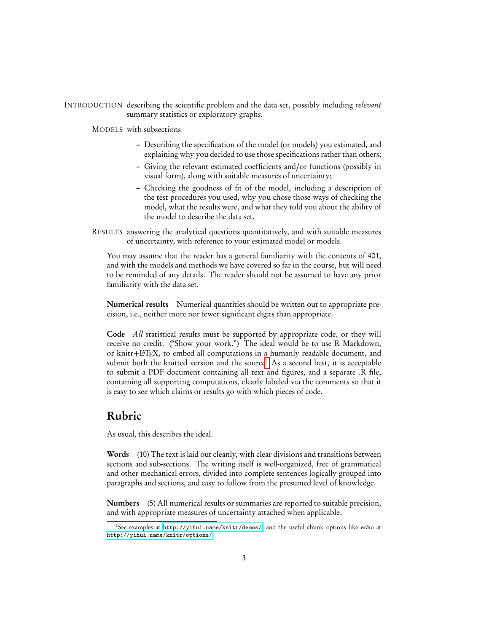INTRODUCTION describing the scientific problem and the data set, possibly including relevant summary statistics or exploratory graphs.

MODELS with subsections

- Describing the specification of the model (or models) you estimated, and explaining why you decided to use those specifications rather than others;
- Giving the relevant estimated coefficients and/or functions (possibly in visual form), along with suitable measures of uncertainty;
- Checking the goodness of fit of the model, including a description of the test procedures you used, why you chose those ways of checking the model, what the results were, and what they told you about the ability of the model to describe the data set.
- RESULTS answering the analytical questions quantitatively, and with suitable measures of uncertainty, with reference to your estimated model or models.

You may assume that the reader has a general familiarity with the contents of 401, and with the models and methods we have covered so far in the course, but will need to be reminded of any details. The reader should not be assumed to have any prior familiarity with the data set.

Numerical results Numerical quantities should be written out to appropriate precision, i.e., neither more nor fewer significant digits than appropriate.

Code All statistical results must be supported by appropriate code, or they will receive no credit. ("Show your work.") The ideal would be to use R Markdown, or knitr+LATEX, to embed all computations in a humanly readable document, and submit both the knitted version and the source<sup>[1](#page-2-0)</sup> As a second best, it is acceptable to submit a PDF document containing all text and figures, and a separate .R file, containing all supporting computations, clearly labeled via the comments so that it is easy to see which claims or results go with which pieces of code.

## Rubric

As usual, this describes the ideal.

Words (10) The text is laid out cleanly, with clear divisions and transitions between sections and sub-sections. The writing itself is well-organized, free of grammatical and other mechanical errors, divided into complete sentences logically grouped into paragraphs and sections, and easy to follow from the presumed level of knowledge.

Numbers (5) All numerical results or summaries are reported to suitable precision, and with appropriate measures of uncertainty attached when applicable.

<span id="page-2-0"></span><sup>&</sup>lt;sup>1</sup>See examples at <http://yihui.name/knitr/demos/>, and the useful chunk options like echo at <http://yihui.name/knitr/options/>.